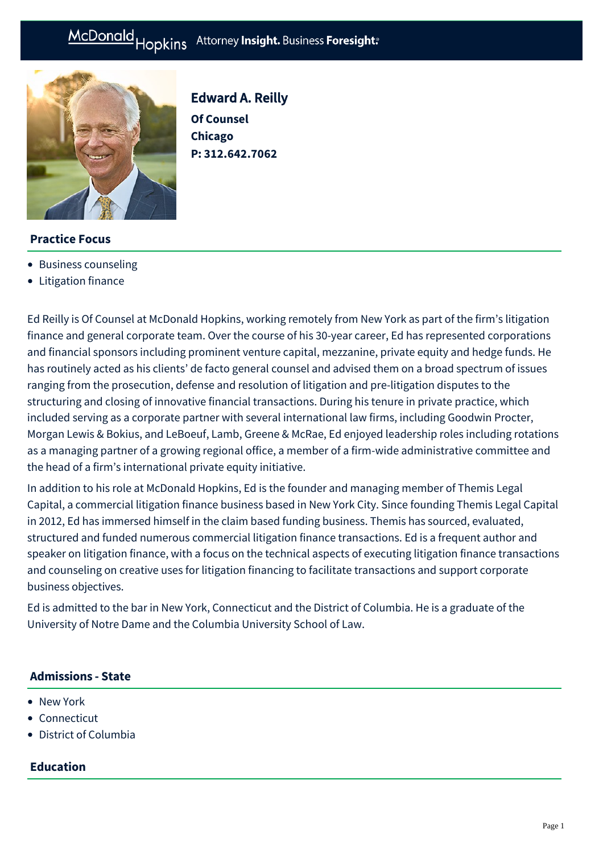

Edward A. Reilly **Of Counsel Chicago P: [312.642.7062](tel:312.642.7062)**

# **Practice Focus**

- [Business counseling](https://mcdonaldhopkins.com/Expertise/Business-counseling)
- [Litigation finance](https://mcdonaldhopkins.com/Expertise/Litigation/Litigation-finance)

Ed Reilly is Of Counsel at McDonald Hopkins, working remotely from New York as part of the firm's litigation finance and general corporate team. Over the course of his 30-year career, Ed has represented corporations and financial sponsors including prominent venture capital, mezzanine, private equity and hedge funds. He has routinely acted as his clients' de facto general counsel and advised them on a broad spectrum of issues ranging from the prosecution, defense and resolution of litigation and pre-litigation disputes to the structuring and closing of innovative financial transactions. During his tenure in private practice, which included serving as a corporate partner with several international law firms, including Goodwin Procter, Morgan Lewis & Bokius, and LeBoeuf, Lamb, Greene & McRae, Ed enjoyed leadership roles including rotations as a managing partner of a growing regional office, a member of a firm-wide administrative committee and the head of a firm's international private equity initiative.

In addition to his role at McDonald Hopkins, Ed is the founder and managing member of Themis Legal Capital, a commercial litigation finance business based in New York City. Since founding Themis Legal Capital in 2012, Ed has immersed himself in the claim based funding business. Themis has sourced, evaluated, structured and funded numerous commercial litigation finance transactions. Ed is a frequent author and speaker on litigation finance, with a focus on the technical aspects of executing litigation finance transactions and counseling on creative uses for litigation financing to facilitate transactions and support corporate business objectives.

Ed is admitted to the bar in New York, Connecticut and the District of Columbia. He is a graduate of the University of Notre Dame and the Columbia University School of Law.

## **Admissions - State**

- New York
- Connecticut
- District of Columbia

## **Education**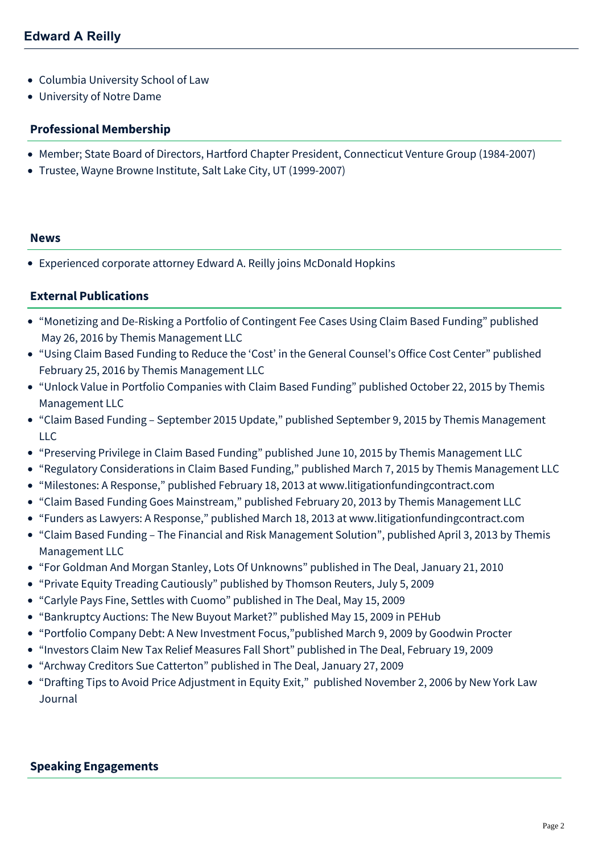- Columbia University School of Law
- University of Notre Dame

#### **Professional Membership**

- Member; State Board of Directors, Hartford Chapter President, Connecticut Venture Group (1984-2007)
- Trustee, Wayne Browne Institute, Salt Lake City, UT (1999-2007)

#### **News**

[Experienced corporate attorney Edward A. Reilly joins McDonald Hopkins](https://mcdonaldhopkins.com/Insights/October-2021/Experienced-corporate-attorney-Edward-A-Reilly-joi)

# **External Publications**

- "Monetizing and De-Risking a Portfolio of Contingent Fee Cases Using Claim Based Funding" published May 26, 2016 by Themis Management LLC
- "Using Claim Based Funding to Reduce the 'Cost' in the General Counsel's Office Cost Center" published February 25, 2016 by Themis Management LLC
- "Unlock Value in Portfolio Companies with Claim Based Funding" published October 22, 2015 by Themis Management LLC
- "Claim Based Funding September 2015 Update," published September 9, 2015 by Themis Management LLC
- "Preserving Privilege in Claim Based Funding" published June 10, 2015 by Themis Management LLC
- "Regulatory Considerations in Claim Based Funding," published March 7, 2015 by Themis Management LLC
- "Milestones: A Response," published February 18, 2013 at www.litigationfundingcontract.com
- "Claim Based Funding Goes Mainstream," published February 20, 2013 by Themis Management LLC
- "Funders as Lawyers: A Response," published March 18, 2013 at www.litigationfundingcontract.com
- "Claim Based Funding The Financial and Risk Management Solution", published April 3, 2013 by Themis Management LLC
- "For Goldman And Morgan Stanley, Lots Of Unknowns" published in The Deal, January 21, 2010
- "Private Equity Treading Cautiously" published by Thomson Reuters, July 5, 2009
- "Carlyle Pays Fine, Settles with Cuomo" published in The Deal, May 15, 2009
- "Bankruptcy Auctions: The New Buyout Market?" published May 15, 2009 in PEHub
- "Portfolio Company Debt: A New Investment Focus,"published March 9, 2009 by Goodwin Procter
- "Investors Claim New Tax Relief Measures Fall Short" published in The Deal, February 19, 2009
- "Archway Creditors Sue Catterton" published in The Deal, January 27, 2009
- "Drafting Tips to Avoid Price Adjustment in Equity Exit," published November 2, 2006 by New York Law Journal

## **Speaking Engagements**